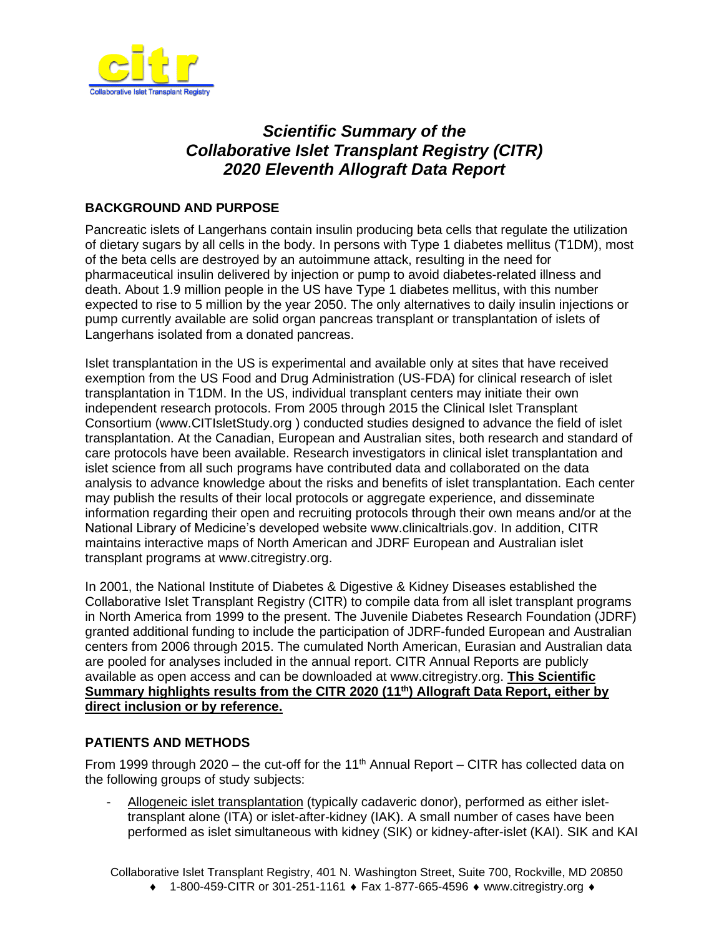

# *Scientific Summary of the Collaborative Islet Transplant Registry (CITR) 2020 Eleventh Allograft Data Report*

## **BACKGROUND AND PURPOSE**

Pancreatic islets of Langerhans contain insulin producing beta cells that regulate the utilization of dietary sugars by all cells in the body. In persons with Type 1 diabetes mellitus (T1DM), most of the beta cells are destroyed by an autoimmune attack, resulting in the need for pharmaceutical insulin delivered by injection or pump to avoid diabetes-related illness and death. About 1.9 million people in the US have Type 1 diabetes mellitus, with this number expected to rise to 5 million by the year 2050. The only alternatives to daily insulin injections or pump currently available are solid organ pancreas transplant or transplantation of islets of Langerhans isolated from a donated pancreas.

Islet transplantation in the US is experimental and available only at sites that have received exemption from the US Food and Drug Administration (US-FDA) for clinical research of islet transplantation in T1DM. In the US, individual transplant centers may initiate their own independent research protocols. From 2005 through 2015 the Clinical Islet Transplant Consortium [\(www.CITIsletStudy.org](http://www.citisletstudy.org/) ) conducted studies designed to advance the field of islet transplantation. At the Canadian, European and Australian sites, both research and standard of care protocols have been available. Research investigators in clinical islet transplantation and islet science from all such programs have contributed data and collaborated on the data analysis to advance knowledge about the risks and benefits of islet transplantation. Each center may publish the results of their local protocols or aggregate experience, and disseminate information regarding their open and recruiting protocols through their own means and/or at the National Library of Medicine's developed website [www.clinicaltrials.gov.](http://www.clinicaltrials.gov/) In addition, CITR maintains interactive maps of North American and JDRF European and Australian islet transplant programs at [www.citregistry.org.](http://www.citregistry.org/)

In 2001, the National Institute of Diabetes & Digestive & Kidney Diseases established the Collaborative Islet Transplant Registry (CITR) to compile data from all islet transplant programs in North America from 1999 to the present. The Juvenile Diabetes Research Foundation (JDRF) granted additional funding to include the participation of JDRF-funded European and Australian centers from 2006 through 2015. The cumulated North American, Eurasian and Australian data are pooled for analyses included in the annual report. CITR Annual Reports are publicly available as open access and can be downloaded at [www.citregistry.org.](http://www.citregistry.org/) **This Scientific**  Summary highlights results from the CITR 2020 (11<sup>th</sup>) Allograft Data Report, either by **direct inclusion or by reference.**

### **PATIENTS AND METHODS**

From 1999 through 2020  $-$  the cut-off for the 11<sup>th</sup> Annual Report  $-$  CITR has collected data on the following groups of study subjects:

- Allogeneic islet transplantation (typically cadaveric donor), performed as either islettransplant alone (ITA) or islet-after-kidney (IAK). A small number of cases have been performed as islet simultaneous with kidney (SIK) or kidney-after-islet (KAI). SIK and KAI

Collaborative Islet Transplant Registry, 401 N. Washington Street, Suite 700, Rockville, MD 20850

 $\bullet$  1-800-459-CITR or 301-251-1161  $\bullet$  Fax 1-877-665-4596  $\bullet$  [www.citregistry.org](http://www.citregistry.org/)  $\bullet$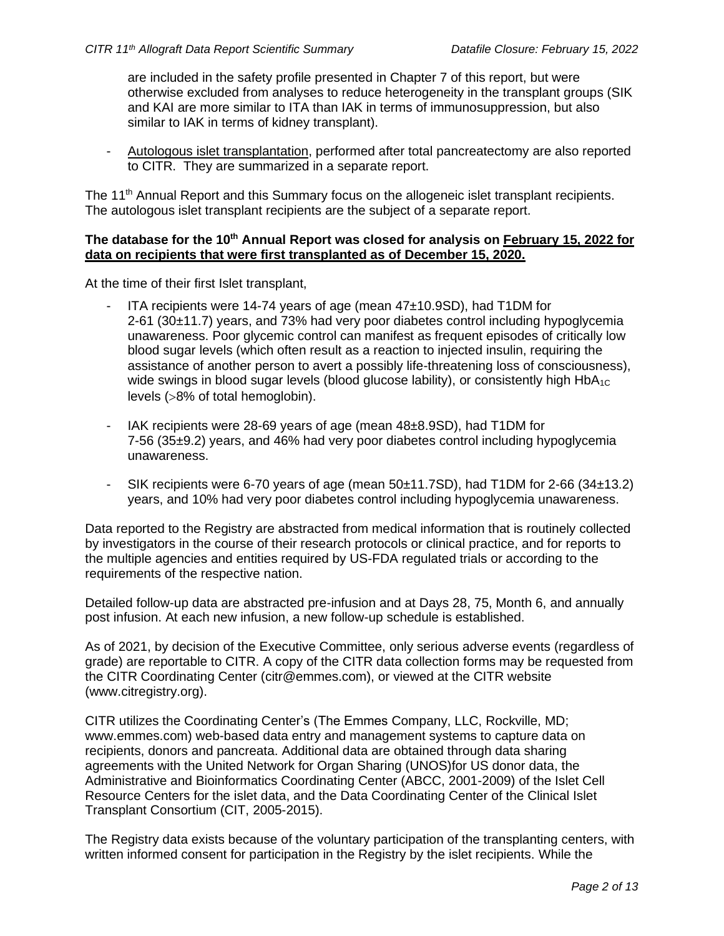are included in the safety profile presented in Chapter 7 of this report, but were otherwise excluded from analyses to reduce heterogeneity in the transplant groups (SIK and KAI are more similar to ITA than IAK in terms of immunosuppression, but also similar to IAK in terms of kidney transplant).

- Autologous islet transplantation, performed after total pancreatectomy are also reported to CITR. They are summarized in a separate report.

The 11<sup>th</sup> Annual Report and this Summary focus on the allogeneic islet transplant recipients. The autologous islet transplant recipients are the subject of a separate report.

#### **The database for the 10th Annual Report was closed for analysis on February 15, 2022 for data on recipients that were first transplanted as of December 15, 2020.**

At the time of their first Islet transplant,

- ITA recipients were 14-74 years of age (mean 47±10.9SD), had T1DM for 2-61 (30±11.7) years, and 73% had very poor diabetes control including hypoglycemia unawareness. Poor glycemic control can manifest as frequent episodes of critically low blood sugar levels (which often result as a reaction to injected insulin, requiring the assistance of another person to avert a possibly life-threatening loss of consciousness), wide swings in blood sugar levels (blood glucose lability), or consistently high HbA<sub>1C</sub> levels (>8% of total hemoglobin).
- IAK recipients were 28-69 years of age (mean 48±8.9SD), had T1DM for 7-56 (35±9.2) years, and 46% had very poor diabetes control including hypoglycemia unawareness.
- SIK recipients were 6-70 years of age (mean 50±11.7SD), had T1DM for 2-66 (34±13.2) years, and 10% had very poor diabetes control including hypoglycemia unawareness.

Data reported to the Registry are abstracted from medical information that is routinely collected by investigators in the course of their research protocols or clinical practice, and for reports to the multiple agencies and entities required by US-FDA regulated trials or according to the requirements of the respective nation.

Detailed follow-up data are abstracted pre-infusion and at Days 28, 75, Month 6, and annually post infusion. At each new infusion, a new follow-up schedule is established.

As of 2021, by decision of the Executive Committee, only serious adverse events (regardless of grade) are reportable to CITR. A copy of the CITR data collection forms may be requested from the CITR Coordinating Center [\(citr@emmes.com\)](mailto:citr@emmes.com), or viewed at the CITR website [\(www.citregistry.org\)](http://www.citregistry.org/).

CITR utilizes the Coordinating Center's (The Emmes Company, LLC, Rockville, MD; [www.emmes.com\)](http://www.emmes.com/) web-based data entry and management systems to capture data on recipients, donors and pancreata. Additional data are obtained through data sharing agreements with the United Network for Organ Sharing (UNOS)for US donor data, the Administrative and Bioinformatics Coordinating Center (ABCC, 2001-2009) of the Islet Cell Resource Centers for the islet data, and the Data Coordinating Center of the Clinical Islet Transplant Consortium (CIT, 2005-2015).

The Registry data exists because of the voluntary participation of the transplanting centers, with written informed consent for participation in the Registry by the islet recipients. While the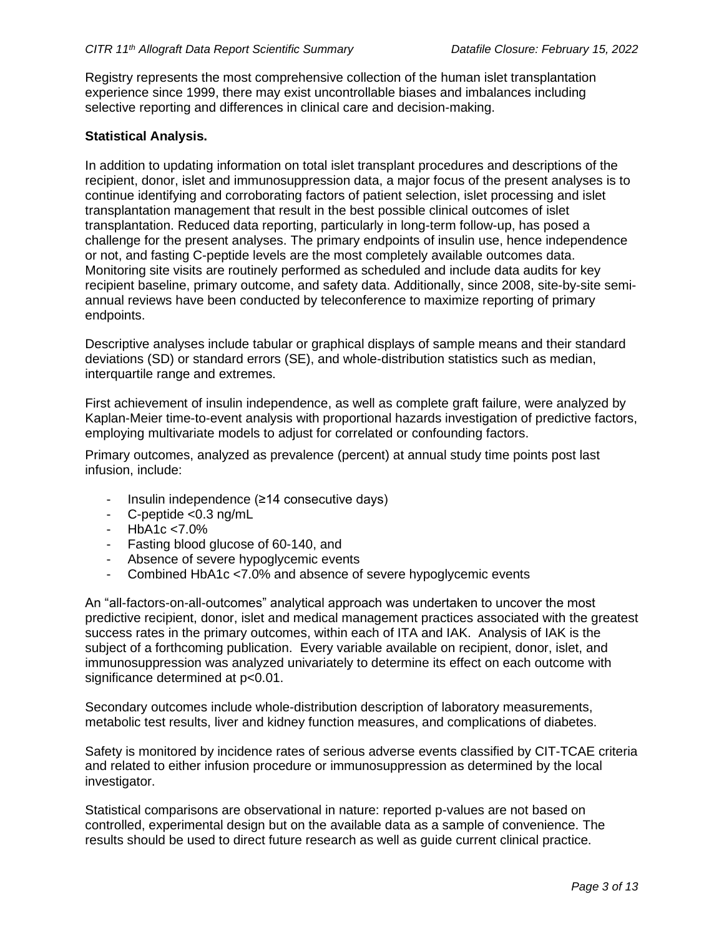Registry represents the most comprehensive collection of the human islet transplantation experience since 1999, there may exist uncontrollable biases and imbalances including selective reporting and differences in clinical care and decision-making.

#### **Statistical Analysis.**

In addition to updating information on total islet transplant procedures and descriptions of the recipient, donor, islet and immunosuppression data, a major focus of the present analyses is to continue identifying and corroborating factors of patient selection, islet processing and islet transplantation management that result in the best possible clinical outcomes of islet transplantation. Reduced data reporting, particularly in long-term follow-up, has posed a challenge for the present analyses. The primary endpoints of insulin use, hence independence or not, and fasting C-peptide levels are the most completely available outcomes data. Monitoring site visits are routinely performed as scheduled and include data audits for key recipient baseline, primary outcome, and safety data. Additionally, since 2008, site-by-site semiannual reviews have been conducted by teleconference to maximize reporting of primary endpoints.

Descriptive analyses include tabular or graphical displays of sample means and their standard deviations (SD) or standard errors (SE), and whole-distribution statistics such as median, interquartile range and extremes.

First achievement of insulin independence, as well as complete graft failure, were analyzed by Kaplan-Meier time-to-event analysis with proportional hazards investigation of predictive factors, employing multivariate models to adjust for correlated or confounding factors.

Primary outcomes, analyzed as prevalence (percent) at annual study time points post last infusion, include:

- $Insulin$  independence (≥14 consecutive days)
- C-peptide <0.3 ng/mL
- HbA1c <7.0%
- Fasting blood glucose of 60-140, and
- Absence of severe hypoglycemic events
- Combined HbA1c <7.0% and absence of severe hypoglycemic events

An "all-factors-on-all-outcomes" analytical approach was undertaken to uncover the most predictive recipient, donor, islet and medical management practices associated with the greatest success rates in the primary outcomes, within each of ITA and IAK. Analysis of IAK is the subject of a forthcoming publication. Every variable available on recipient, donor, islet, and immunosuppression was analyzed univariately to determine its effect on each outcome with significance determined at  $p<0.01$ .

Secondary outcomes include whole-distribution description of laboratory measurements, metabolic test results, liver and kidney function measures, and complications of diabetes.

Safety is monitored by incidence rates of serious adverse events classified by CIT-TCAE criteria and related to either infusion procedure or immunosuppression as determined by the local investigator.

Statistical comparisons are observational in nature: reported p-values are not based on controlled, experimental design but on the available data as a sample of convenience. The results should be used to direct future research as well as guide current clinical practice.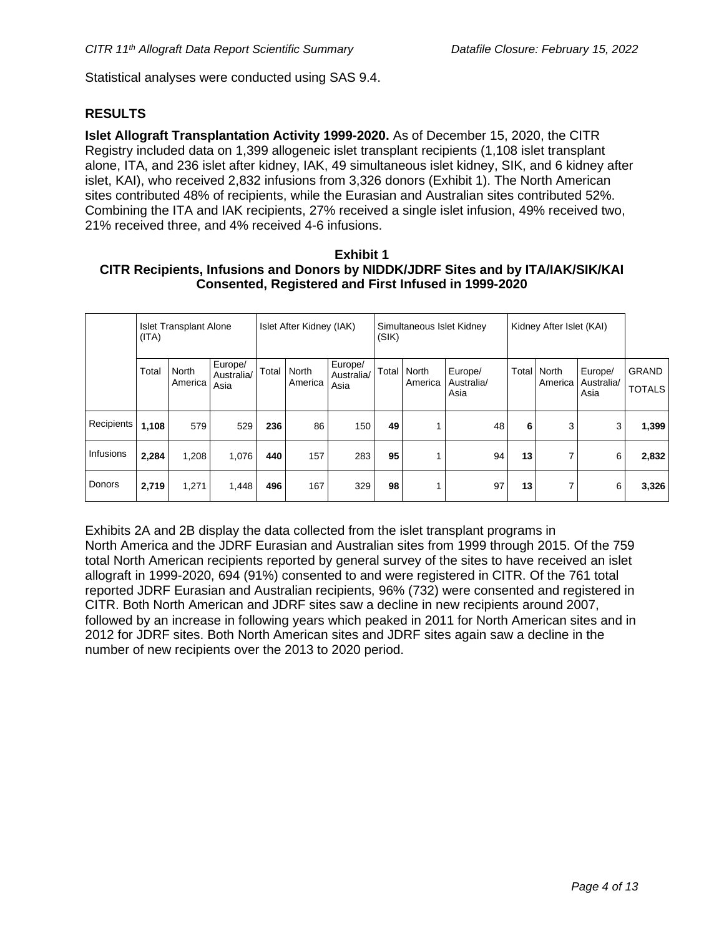Statistical analyses were conducted using SAS 9.4.

#### **RESULTS**

**Islet Allograft Transplantation Activity 1999-2020.** As of December 15, 2020, the CITR Registry included data on 1,399 allogeneic islet transplant recipients (1,108 islet transplant alone, ITA, and 236 islet after kidney, IAK, 49 simultaneous islet kidney, SIK, and 6 kidney after islet, KAI), who received 2,832 infusions from 3,326 donors (Exhibit 1). The North American sites contributed 48% of recipients, while the Eurasian and Australian sites contributed 52%. Combining the ITA and IAK recipients, 27% received a single islet infusion, 49% received two, 21% received three, and 4% received 4-6 infusions.

#### **Exhibit 1 CITR Recipients, Infusions and Donors by NIDDK/JDRF Sites and by ITA/IAK/SIK/KAI Consented, Registered and First Infused in 1999-2020**

|            | <b>Islet Transplant Alone</b><br>(ITA) |                  |                               | Islet After Kidney (IAK) |                  |                               | Simultaneous Islet Kidney<br>(SIK) |                  |                               | Kidney After Islet (KAI) |                    |                               |                        |
|------------|----------------------------------------|------------------|-------------------------------|--------------------------|------------------|-------------------------------|------------------------------------|------------------|-------------------------------|--------------------------|--------------------|-------------------------------|------------------------|
|            | Total                                  | North<br>America | Europe/<br>Australia/<br>Asia | Total                    | North<br>America | Europe/<br>Australia/<br>Asia | Total                              | North<br>America | Europe/<br>Australia/<br>Asia | <b>Total</b>             | North<br>America I | Europe/<br>Australia/<br>Asia | GRAND<br><b>TOTALS</b> |
| Recipients | 1,108                                  | 579              | 529                           | 236                      | 86               | 150                           | 49                                 |                  | 48                            | 6                        | 3                  | 3                             | 1,399                  |
| Infusions  | 2,284                                  | 1,208            | 1,076                         | 440                      | 157              | 283                           | 95                                 |                  | 94                            | 13                       | 7                  | 6                             | 2,832                  |
| Donors     | 2,719                                  | 1,271            | 1,448                         | 496                      | 167              | 329                           | 98                                 |                  | 97                            | 13                       | 7                  | 6                             | 3,326                  |

Exhibits 2A and 2B display the data collected from the islet transplant programs in North America and the JDRF Eurasian and Australian sites from 1999 through 2015. Of the 759 total North American recipients reported by general survey of the sites to have received an islet allograft in 1999-2020, 694 (91%) consented to and were registered in CITR. Of the 761 total reported JDRF Eurasian and Australian recipients, 96% (732) were consented and registered in CITR. Both North American and JDRF sites saw a decline in new recipients around 2007, followed by an increase in following years which peaked in 2011 for North American sites and in 2012 for JDRF sites. Both North American sites and JDRF sites again saw a decline in the number of new recipients over the 2013 to 2020 period.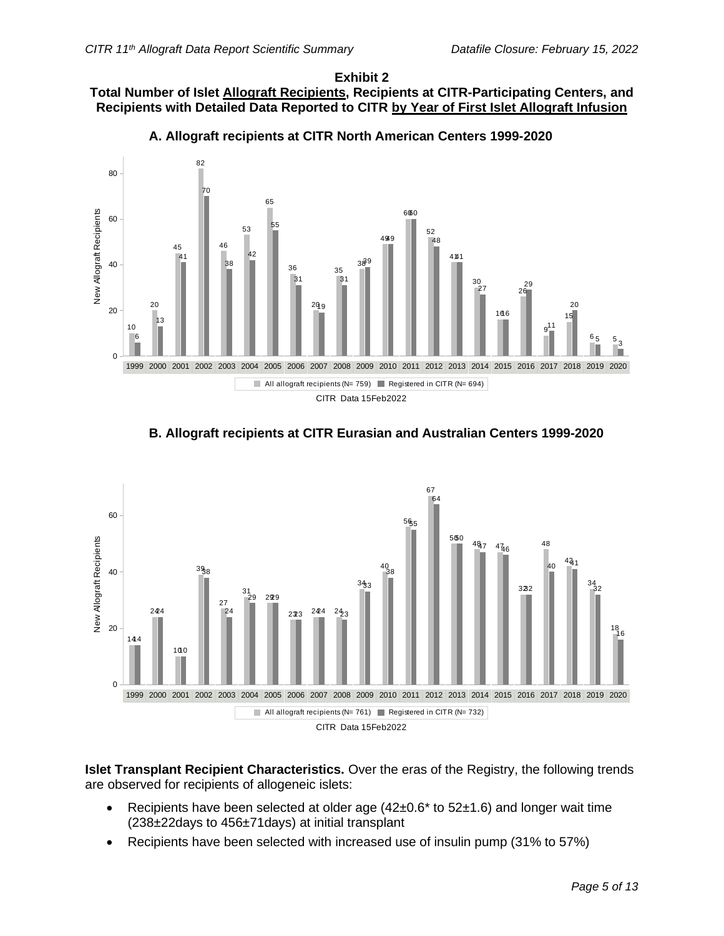#### **Exhibit 2 Total Number of Islet Allograft Recipients, Recipients at CITR-Participating Centers, and Recipients with Detailed Data Reported to CITR by Year of First Islet Allograft Infusion**



**A. Allograft recipients at CITR North American Centers 1999-2020**





**Islet Transplant Recipient Characteristics.** Over the eras of the Registry, the following trends are observed for recipients of allogeneic islets:

- Recipients have been selected at older age  $(42\pm0.6*$  to  $52\pm1.6)$  and longer wait time (238±22days to 456±71days) at initial transplant
- Recipients have been selected with increased use of insulin pump (31% to 57%)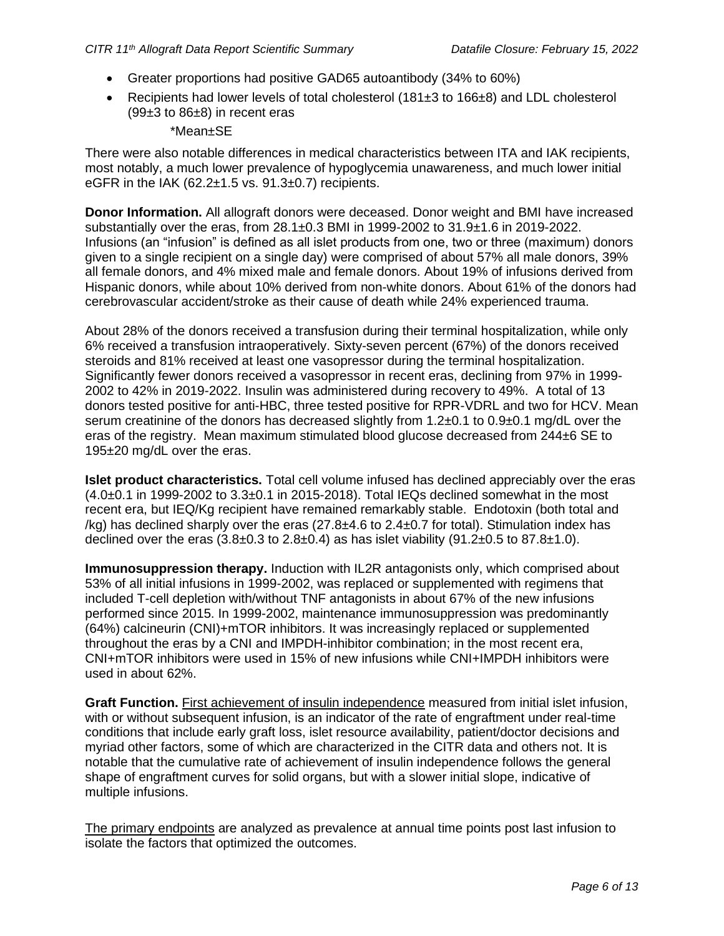- Greater proportions had positive GAD65 autoantibody (34% to 60%)
- Recipients had lower levels of total cholesterol (181±3 to 166±8) and LDL cholesterol (99±3 to 86±8) in recent eras

#### \*Mean±SE

There were also notable differences in medical characteristics between ITA and IAK recipients, most notably, a much lower prevalence of hypoglycemia unawareness, and much lower initial eGFR in the IAK  $(62.2 \pm 1.5 \text{ vs. } 91.3 \pm 0.7)$  recipients.

**Donor Information.** All allograft donors were deceased. Donor weight and BMI have increased substantially over the eras, from 28.1±0.3 BMI in 1999-2002 to 31.9±1.6 in 2019-2022. Infusions (an "infusion" is defined as all islet products from one, two or three (maximum) donors given to a single recipient on a single day) were comprised of about 57% all male donors, 39% all female donors, and 4% mixed male and female donors. About 19% of infusions derived from Hispanic donors, while about 10% derived from non-white donors. About 61% of the donors had cerebrovascular accident/stroke as their cause of death while 24% experienced trauma.

About 28% of the donors received a transfusion during their terminal hospitalization, while only 6% received a transfusion intraoperatively. Sixty-seven percent (67%) of the donors received steroids and 81% received at least one vasopressor during the terminal hospitalization. Significantly fewer donors received a vasopressor in recent eras, declining from 97% in 1999- 2002 to 42% in 2019-2022. Insulin was administered during recovery to 49%. A total of 13 donors tested positive for anti-HBC, three tested positive for RPR-VDRL and two for HCV. Mean serum creatinine of the donors has decreased slightly from 1.2±0.1 to 0.9±0.1 mg/dL over the eras of the registry. Mean maximum stimulated blood glucose decreased from 244±6 SE to 195±20 mg/dL over the eras.

**Islet product characteristics.** Total cell volume infused has declined appreciably over the eras  $(4.0±0.1$  in 1999-2002 to  $3.3±0.1$  in 2015-2018). Total IEQs declined somewhat in the most recent era, but IEQ/Kg recipient have remained remarkably stable. Endotoxin (both total and /kg) has declined sharply over the eras  $(27.8\pm4.6 \text{ to } 2.4\pm0.7 \text{ for total})$ . Stimulation index has declined over the eras  $(3.8\pm0.3 \text{ to } 2.8\pm0.4)$  as has islet viability  $(91.2\pm0.5 \text{ to } 87.8\pm1.0)$ .

**Immunosuppression therapy.** Induction with IL2R antagonists only, which comprised about 53% of all initial infusions in 1999-2002, was replaced or supplemented with regimens that included T-cell depletion with/without TNF antagonists in about 67% of the new infusions performed since 2015. In 1999-2002, maintenance immunosuppression was predominantly (64%) calcineurin (CNI)+mTOR inhibitors. It was increasingly replaced or supplemented throughout the eras by a CNI and IMPDH-inhibitor combination; in the most recent era, CNI+mTOR inhibitors were used in 15% of new infusions while CNI+IMPDH inhibitors were used in about 62%.

**Graft Function.** First achievement of insulin independence measured from initial islet infusion, with or without subsequent infusion, is an indicator of the rate of engraftment under real-time conditions that include early graft loss, islet resource availability, patient/doctor decisions and myriad other factors, some of which are characterized in the CITR data and others not. It is notable that the cumulative rate of achievement of insulin independence follows the general shape of engraftment curves for solid organs, but with a slower initial slope, indicative of multiple infusions.

The primary endpoints are analyzed as prevalence at annual time points post last infusion to isolate the factors that optimized the outcomes.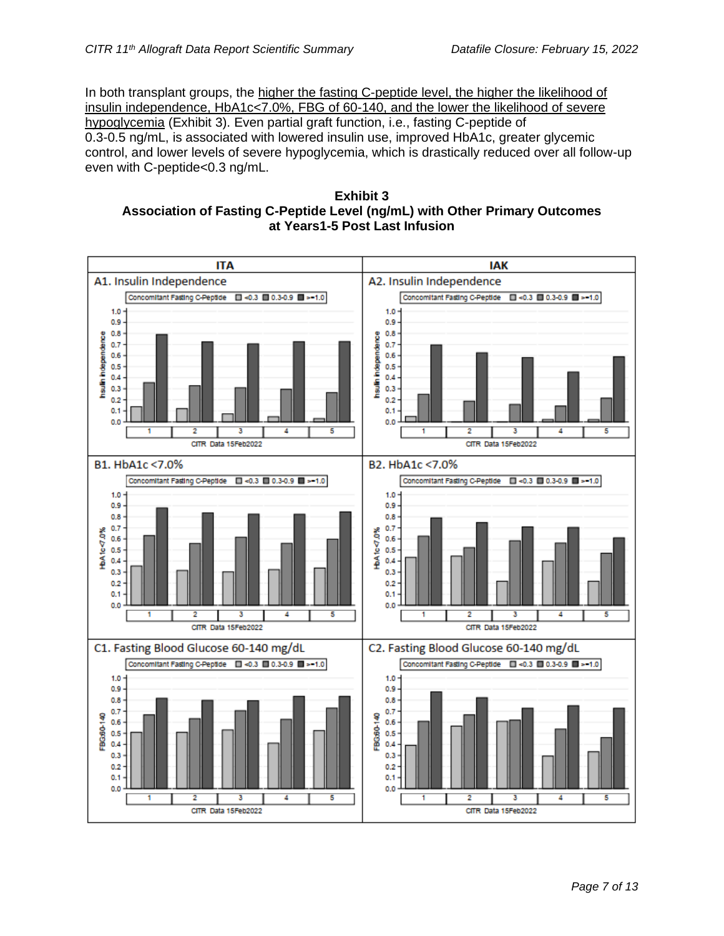In both transplant groups, the higher the fasting C-peptide level, the higher the likelihood of insulin independence, HbA1c<7.0%, FBG of 60-140, and the lower the likelihood of severe hypoglycemia (Exhibit 3). Even partial graft function, i.e., fasting C-peptide of 0.3-0.5 ng/mL, is associated with lowered insulin use, improved HbA1c, greater glycemic control, and lower levels of severe hypoglycemia, which is drastically reduced over all follow-up even with C-peptide<0.3 ng/mL.

**Exhibit 3 Association of Fasting C-Peptide Level (ng/mL) with Other Primary Outcomes at Years1-5 Post Last Infusion**

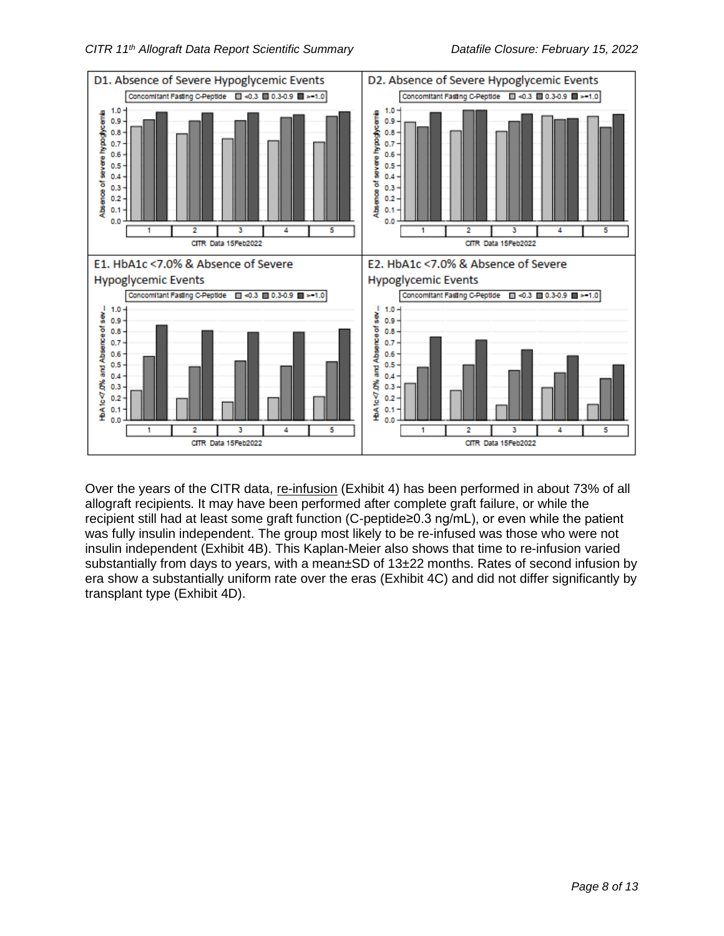

Over the years of the CITR data, re-infusion (Exhibit 4) has been performed in about 73% of all allograft recipients. It may have been performed after complete graft failure, or while the recipient still had at least some graft function (C-peptide≥0.3 ng/mL), or even while the patient was fully insulin independent. The group most likely to be re-infused was those who were not insulin independent (Exhibit 4B). This Kaplan-Meier also shows that time to re-infusion varied substantially from days to years, with a mean±SD of 13±22 months. Rates of second infusion by era show a substantially uniform rate over the eras (Exhibit 4C) and did not differ significantly by transplant type (Exhibit 4D).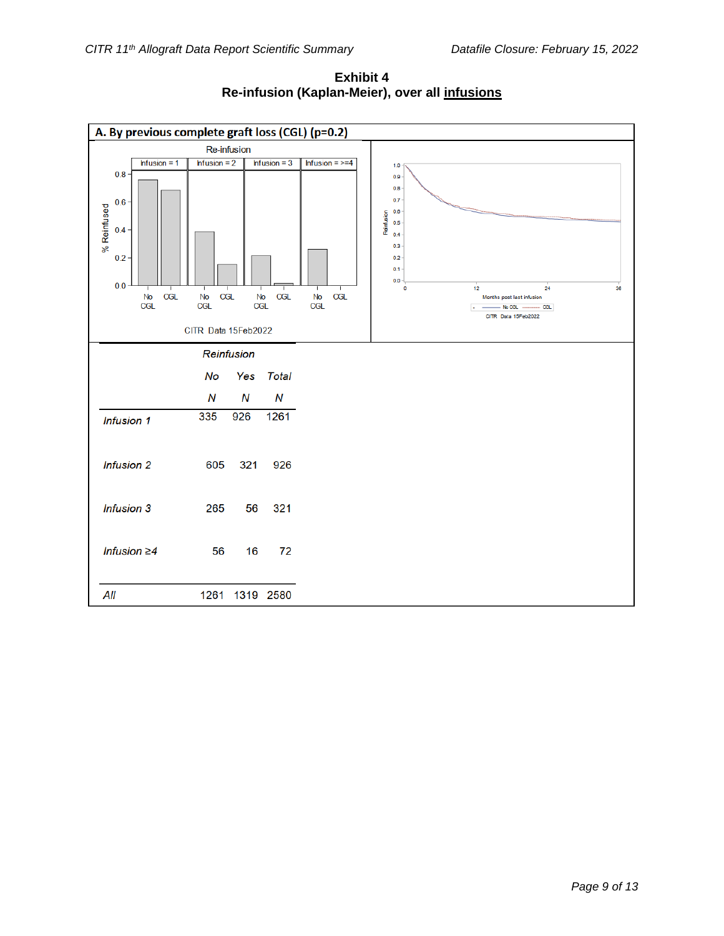

**Exhibit 4 Re-infusion (Kaplan-Meier), over all infusions**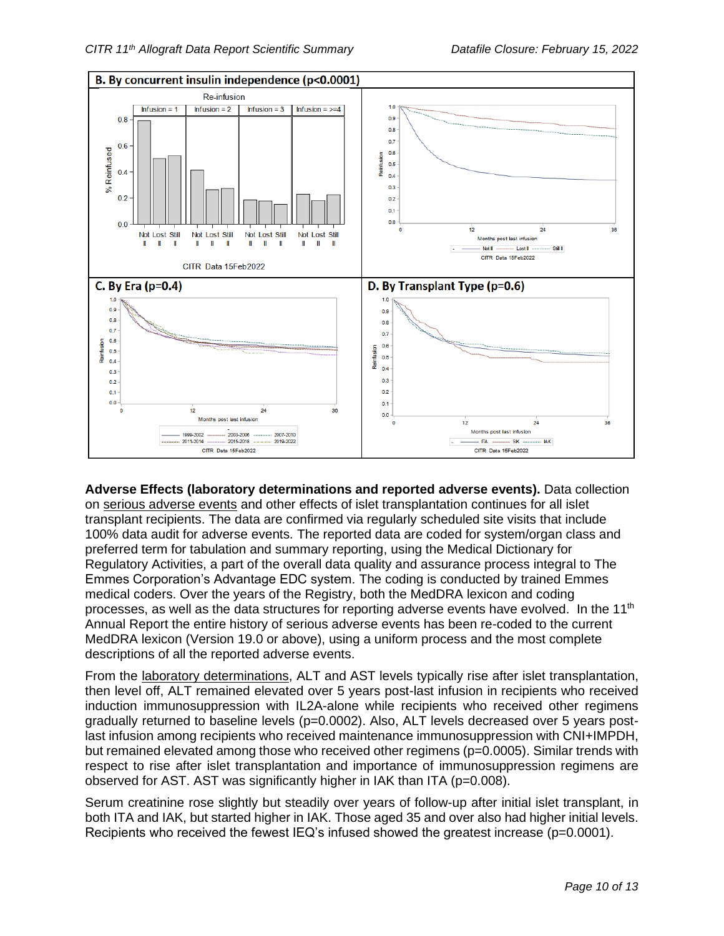

**Adverse Effects (laboratory determinations and reported adverse events).** Data collection on serious adverse events and other effects of islet transplantation continues for all islet transplant recipients. The data are confirmed via regularly scheduled site visits that include 100% data audit for adverse events. The reported data are coded for system/organ class and preferred term for tabulation and summary reporting, using the Medical Dictionary for Regulatory Activities, a part of the overall data quality and assurance process integral to The Emmes Corporation's Advantage EDC system. The coding is conducted by trained Emmes medical coders. Over the years of the Registry, both the MedDRA lexicon and coding processes, as well as the data structures for reporting adverse events have evolved. In the 11<sup>th</sup> Annual Report the entire history of serious adverse events has been re-coded to the current MedDRA lexicon (Version 19.0 or above), using a uniform process and the most complete descriptions of all the reported adverse events.

From the laboratory determinations, ALT and AST levels typically rise after islet transplantation, then level off, ALT remained elevated over 5 years post-last infusion in recipients who received induction immunosuppression with IL2A-alone while recipients who received other regimens gradually returned to baseline levels (p=0.0002). Also, ALT levels decreased over 5 years postlast infusion among recipients who received maintenance immunosuppression with CNI+IMPDH, but remained elevated among those who received other regimens (p=0.0005). Similar trends with respect to rise after islet transplantation and importance of immunosuppression regimens are observed for AST. AST was significantly higher in IAK than ITA (p=0.008).

Serum creatinine rose slightly but steadily over years of follow-up after initial islet transplant, in both ITA and IAK, but started higher in IAK. Those aged 35 and over also had higher initial levels. Recipients who received the fewest IEQ's infused showed the greatest increase (p=0.0001).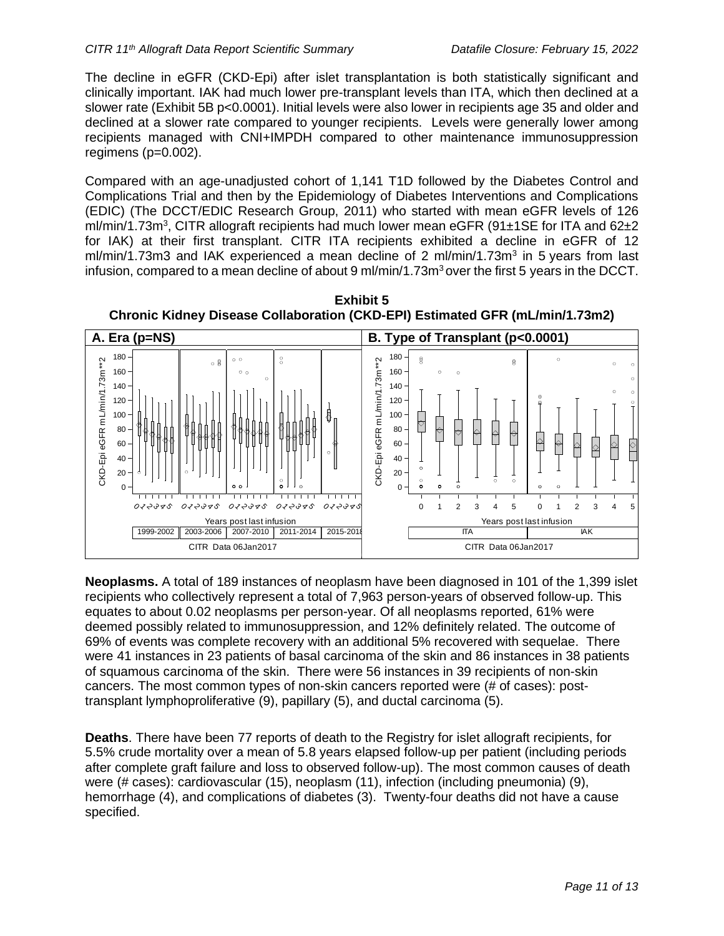The decline in eGFR (CKD-Epi) after islet transplantation is both statistically significant and clinically important. IAK had much lower pre-transplant levels than ITA, which then declined at a slower rate (Exhibit 5B p<0.0001). Initial levels were also lower in recipients age 35 and older and declined at a slower rate compared to younger recipients. Levels were generally lower among recipients managed with CNI+IMPDH compared to other maintenance immunosuppression regimens  $(p=0.002)$ .

Compared with an age-unadjusted cohort of 1,141 T1D followed by the Diabetes Control and Complications Trial and then by the Epidemiology of Diabetes Interventions and Complications (EDIC) (The DCCT/EDIC Research Group, 2011) who started with mean eGFR levels of 126 ml/min/1.73m<sup>3</sup>, CITR allograft recipients had much lower mean eGFR (91±1SE for ITA and 62±2 for IAK) at their first transplant. CITR ITA recipients exhibited a decline in eGFR of 12 ml/min/1.73m3 and IAK experienced a mean decline of 2 ml/min/1.73m<sup>3</sup> in 5 years from last infusion, compared to a mean decline of about 9 ml/min/1.73 $\text{m}^3$  over the first 5 years in the DCCT.



**Neoplasms.** A total of 189 instances of neoplasm have been diagnosed in 101 of the 1,399 islet recipients who collectively represent a total of 7,963 person-years of observed follow-up. This equates to about 0.02 neoplasms per person-year. Of all neoplasms reported, 61% were deemed possibly related to immunosuppression, and 12% definitely related. The outcome of 69% of events was complete recovery with an additional 5% recovered with sequelae. There were 41 instances in 23 patients of basal carcinoma of the skin and 86 instances in 38 patients of squamous carcinoma of the skin. There were 56 instances in 39 recipients of non-skin cancers. The most common types of non-skin cancers reported were (# of cases): posttransplant lymphoproliferative (9), papillary (5), and ductal carcinoma (5).

**Deaths**. There have been 77 reports of death to the Registry for islet allograft recipients, for 5.5% crude mortality over a mean of 5.8 years elapsed follow-up per patient (including periods after complete graft failure and loss to observed follow-up). The most common causes of death were (# cases): cardiovascular (15), neoplasm (11), infection (including pneumonia) (9), hemorrhage (4), and complications of diabetes (3). Twenty-four deaths did not have a cause specified.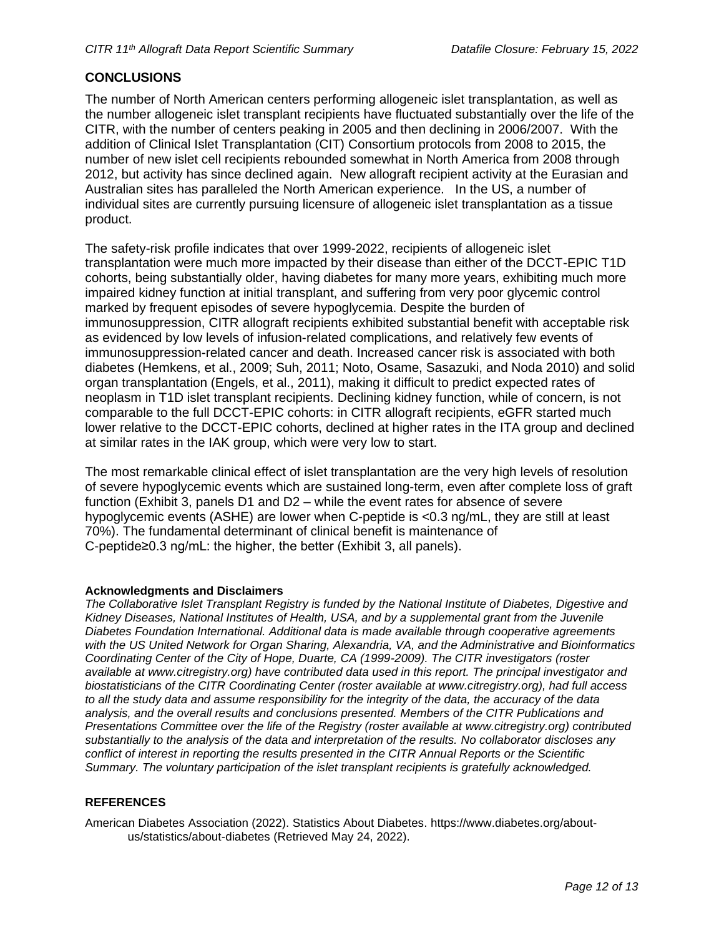#### **CONCLUSIONS**

The number of North American centers performing allogeneic islet transplantation, as well as the number allogeneic islet transplant recipients have fluctuated substantially over the life of the CITR, with the number of centers peaking in 2005 and then declining in 2006/2007. With the addition of Clinical Islet Transplantation (CIT) Consortium protocols from 2008 to 2015, the number of new islet cell recipients rebounded somewhat in North America from 2008 through 2012, but activity has since declined again. New allograft recipient activity at the Eurasian and Australian sites has paralleled the North American experience. In the US, a number of individual sites are currently pursuing licensure of allogeneic islet transplantation as a tissue product.

The safety-risk profile indicates that over 1999-2022, recipients of allogeneic islet transplantation were much more impacted by their disease than either of the DCCT-EPIC T1D cohorts, being substantially older, having diabetes for many more years, exhibiting much more impaired kidney function at initial transplant, and suffering from very poor glycemic control marked by frequent episodes of severe hypoglycemia. Despite the burden of immunosuppression, CITR allograft recipients exhibited substantial benefit with acceptable risk as evidenced by low levels of infusion-related complications, and relatively few events of immunosuppression-related cancer and death. Increased cancer risk is associated with both diabetes (Hemkens, et al., 2009; Suh, 2011; Noto, Osame, Sasazuki, and Noda 2010) and solid organ transplantation (Engels, et al., 2011), making it difficult to predict expected rates of neoplasm in T1D islet transplant recipients. Declining kidney function, while of concern, is not comparable to the full DCCT-EPIC cohorts: in CITR allograft recipients, eGFR started much lower relative to the DCCT-EPIC cohorts, declined at higher rates in the ITA group and declined at similar rates in the IAK group, which were very low to start.

The most remarkable clinical effect of islet transplantation are the very high levels of resolution of severe hypoglycemic events which are sustained long-term, even after complete loss of graft function (Exhibit 3, panels D1 and D2 – while the event rates for absence of severe hypoglycemic events (ASHE) are lower when C-peptide is <0.3 ng/mL, they are still at least 70%). The fundamental determinant of clinical benefit is maintenance of C-peptide≥0.3 ng/mL: the higher, the better (Exhibit 3, all panels).

#### **Acknowledgments and Disclaimers**

*The Collaborative Islet Transplant Registry is funded by the National Institute of Diabetes, Digestive and Kidney Diseases, National Institutes of Health, USA, and by a supplemental grant from the Juvenile Diabetes Foundation International. Additional data is made available through cooperative agreements with the US United Network for Organ Sharing, Alexandria, VA, and the Administrative and Bioinformatics Coordinating Center of the City of Hope, Duarte, CA (1999-2009). The CITR investigators (roster available at [www.citregistry.org\)](http://www.citregistry.org/) have contributed data used in this report. The principal investigator and biostatisticians of the CITR Coordinating Center (roster available at [www.citregistry.org\)](http://www.citregistry.org/), had full access to all the study data and assume responsibility for the integrity of the data, the accuracy of the data analysis, and the overall results and conclusions presented. Members of the CITR Publications and Presentations Committee over the life of the Registry (roster available at [www.citregistry.org\)](http://www.citregistry.org/) contributed substantially to the analysis of the data and interpretation of the results. No collaborator discloses any conflict of interest in reporting the results presented in the CITR Annual Reports or the Scientific Summary. The voluntary participation of the islet transplant recipients is gratefully acknowledged.*

#### **REFERENCES**

American Diabetes Association (2022). Statistics About Diabetes. [https://www.diabetes.org/about](https://www.diabetes.org/about-us/statistics/about-diabetes)[us/statistics/about-diabetes](https://www.diabetes.org/about-us/statistics/about-diabetes) (Retrieved May 24, 2022).